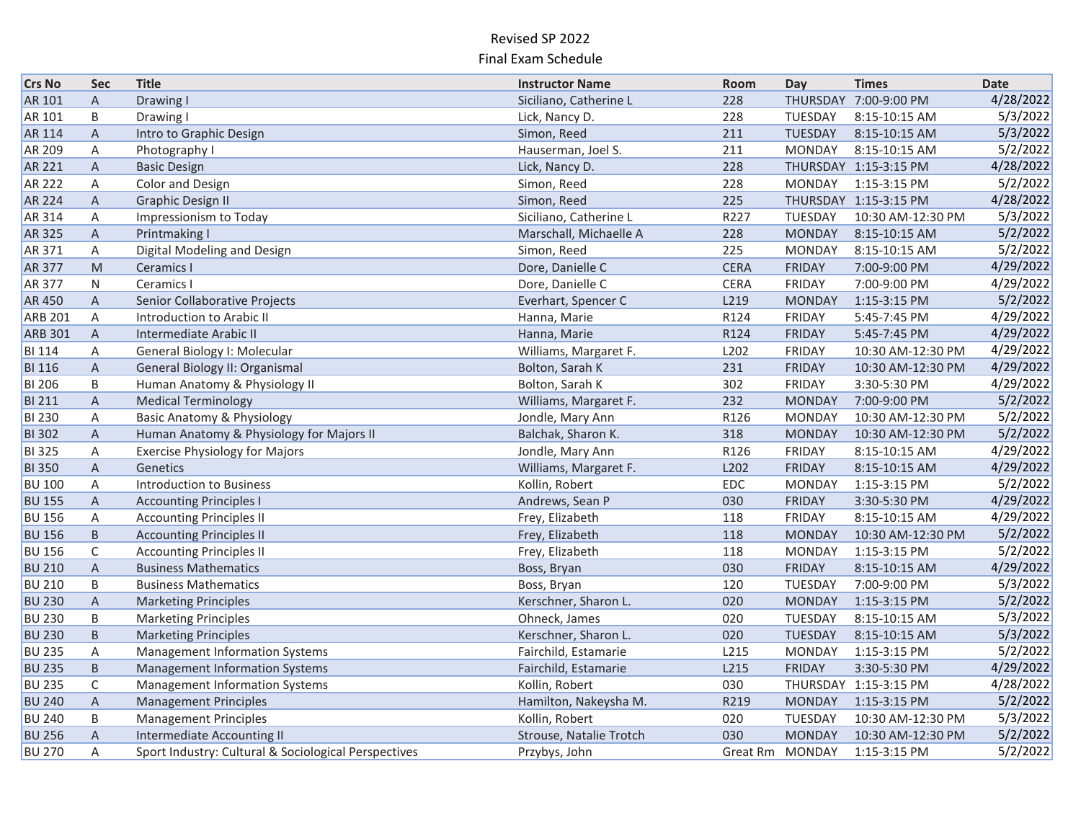| <b>Crs No</b>  | <b>Sec</b>     | <b>Title</b>                                         | <b>Instructor Name</b>  | Room             | Day             | <b>Times</b>          | <b>Date</b> |
|----------------|----------------|------------------------------------------------------|-------------------------|------------------|-----------------|-----------------------|-------------|
| AR 101         | $\overline{A}$ | Drawing I                                            | Siciliano, Catherine L  | 228              |                 | THURSDAY 7:00-9:00 PM | 4/28/2022   |
| AR 101         | B              | Drawing I                                            | Lick, Nancy D.          | 228              | TUESDAY         | 8:15-10:15 AM         | 5/3/2022    |
| AR 114         | $\overline{A}$ | Intro to Graphic Design                              | Simon, Reed             | 211              | TUESDAY         | 8:15-10:15 AM         | 5/3/2022    |
| AR 209         | A              | Photography I                                        | Hauserman, Joel S.      | 211              | <b>MONDAY</b>   | 8:15-10:15 AM         | 5/2/2022    |
| AR 221         | A              | <b>Basic Design</b>                                  | Lick, Nancy D.          | 228              |                 | THURSDAY 1:15-3:15 PM | 4/28/2022   |
| <b>AR 222</b>  | A              | Color and Design                                     | Simon, Reed             | 228              | <b>MONDAY</b>   | 1:15-3:15 PM          | 5/2/2022    |
| <b>AR 224</b>  | $\overline{A}$ | <b>Graphic Design II</b>                             | Simon, Reed             | 225              |                 | THURSDAY 1:15-3:15 PM | 4/28/2022   |
| AR 314         | Α              | Impressionism to Today                               | Siciliano, Catherine L  | R227             | TUESDAY         | 10:30 AM-12:30 PM     | 5/3/2022    |
| AR 325         | $\overline{A}$ | Printmaking I                                        | Marschall, Michaelle A  | 228              | <b>MONDAY</b>   | 8:15-10:15 AM         | 5/2/2022    |
| AR 371         | A              | Digital Modeling and Design                          | Simon, Reed             | 225              | <b>MONDAY</b>   | 8:15-10:15 AM         | 5/2/2022    |
| <b>AR 377</b>  | M              | Ceramics I                                           | Dore, Danielle C        | <b>CERA</b>      | <b>FRIDAY</b>   | 7:00-9:00 PM          | 4/29/2022   |
| <b>AR 377</b>  | ${\sf N}$      | Ceramics I                                           | Dore, Danielle C        | <b>CERA</b>      | FRIDAY          | 7:00-9:00 PM          | 4/29/2022   |
| <b>AR450</b>   | $\mathsf{A}$   | Senior Collaborative Projects                        | Everhart, Spencer C     | L219             | <b>MONDAY</b>   | 1:15-3:15 PM          | 5/2/2022    |
| <b>ARB 201</b> | A              | Introduction to Arabic II                            | Hanna, Marie            | R124             | <b>FRIDAY</b>   | 5:45-7:45 PM          | 4/29/2022   |
| <b>ARB 301</b> | $\mathsf{A}$   | Intermediate Arabic II                               | Hanna, Marie            | R124             | <b>FRIDAY</b>   | 5:45-7:45 PM          | 4/29/2022   |
| <b>BI 114</b>  | Α              | General Biology I: Molecular                         | Williams, Margaret F.   | L <sub>202</sub> | <b>FRIDAY</b>   | 10:30 AM-12:30 PM     | 4/29/2022   |
| <b>BI 116</b>  | A              | General Biology II: Organismal                       | Bolton, Sarah K         | 231              | <b>FRIDAY</b>   | 10:30 AM-12:30 PM     | 4/29/2022   |
| <b>BI 206</b>  | B              | Human Anatomy & Physiology II                        | Bolton, Sarah K         | 302              | <b>FRIDAY</b>   | 3:30-5:30 PM          | 4/29/2022   |
| <b>BI 211</b>  | A              | <b>Medical Terminology</b>                           | Williams, Margaret F.   | 232              | <b>MONDAY</b>   | 7:00-9:00 PM          | 5/2/2022    |
| <b>BI 230</b>  | Α              | <b>Basic Anatomy &amp; Physiology</b>                | Jondle, Mary Ann        | R126             | <b>MONDAY</b>   | 10:30 AM-12:30 PM     | 5/2/2022    |
| <b>BI</b> 302  | Α              | Human Anatomy & Physiology for Majors II             | Balchak, Sharon K.      | 318              | <b>MONDAY</b>   | 10:30 AM-12:30 PM     | 5/2/2022    |
| <b>BI</b> 325  | Α              | <b>Exercise Physiology for Majors</b>                | Jondle, Mary Ann        | R126             | <b>FRIDAY</b>   | 8:15-10:15 AM         | 4/29/2022   |
| <b>BI 350</b>  | A              | Genetics                                             | Williams, Margaret F.   | L202             | <b>FRIDAY</b>   | 8:15-10:15 AM         | 4/29/2022   |
| <b>BU 100</b>  | Α              | <b>Introduction to Business</b>                      | Kollin, Robert          | EDC              | <b>MONDAY</b>   | 1:15-3:15 PM          | 5/2/2022    |
| <b>BU 155</b>  | $\overline{A}$ | <b>Accounting Principles I</b>                       | Andrews, Sean P         | 030              | <b>FRIDAY</b>   | 3:30-5:30 PM          | 4/29/2022   |
| <b>BU 156</b>  | A              | <b>Accounting Principles II</b>                      | Frey, Elizabeth         | 118              | <b>FRIDAY</b>   | 8:15-10:15 AM         | 4/29/2022   |
| <b>BU 156</b>  | B.             | <b>Accounting Principles II</b>                      | Frey, Elizabeth         | 118              | <b>MONDAY</b>   | 10:30 AM-12:30 PM     | 5/2/2022    |
| <b>BU 156</b>  | $\mathsf{C}$   | <b>Accounting Principles II</b>                      | Frey, Elizabeth         | 118              | <b>MONDAY</b>   | 1:15-3:15 PM          | 5/2/2022    |
| <b>BU 210</b>  | A              | <b>Business Mathematics</b>                          | Boss, Bryan             | 030              | <b>FRIDAY</b>   | 8:15-10:15 AM         | 4/29/2022   |
| <b>BU 210</b>  | B              | <b>Business Mathematics</b>                          | Boss, Bryan             | 120              | TUESDAY         | 7:00-9:00 PM          | 5/3/2022    |
| <b>BU 230</b>  | $\overline{A}$ | <b>Marketing Principles</b>                          | Kerschner, Sharon L.    | 020              | <b>MONDAY</b>   | 1:15-3:15 PM          | 5/2/2022    |
| <b>BU 230</b>  | B              | <b>Marketing Principles</b>                          | Ohneck, James           | 020              | TUESDAY         | 8:15-10:15 AM         | 5/3/2022    |
| <b>BU 230</b>  | B              | <b>Marketing Principles</b>                          | Kerschner, Sharon L.    | 020              | TUESDAY         | 8:15-10:15 AM         | 5/3/2022    |
| <b>BU 235</b>  | Α              | <b>Management Information Systems</b>                | Fairchild, Estamarie    | L215             | <b>MONDAY</b>   | 1:15-3:15 PM          | 5/2/2022    |
| <b>BU 235</b>  | B.             | <b>Management Information Systems</b>                | Fairchild, Estamarie    | L215             | <b>FRIDAY</b>   | 3:30-5:30 PM          | 4/29/2022   |
| <b>BU 235</b>  | C              | <b>Management Information Systems</b>                | Kollin, Robert          | 030              |                 | THURSDAY 1:15-3:15 PM | 4/28/2022   |
| <b>BU 240</b>  | A              | <b>Management Principles</b>                         | Hamilton, Nakeysha M.   | R219             | <b>MONDAY</b>   | 1:15-3:15 PM          | 5/2/2022    |
| <b>BU 240</b>  | B              | <b>Management Principles</b>                         | Kollin, Robert          | 020              | TUESDAY         | 10:30 AM-12:30 PM     | 5/3/2022    |
| <b>BU 256</b>  | A              | <b>Intermediate Accounting II</b>                    | Strouse, Natalie Trotch | 030              | <b>MONDAY</b>   | 10:30 AM-12:30 PM     | 5/2/2022    |
| <b>BU 270</b>  | A              | Sport Industry: Cultural & Sociological Perspectives | Przybys, John           |                  | Great Rm MONDAY | 1:15-3:15 PM          | 5/2/2022    |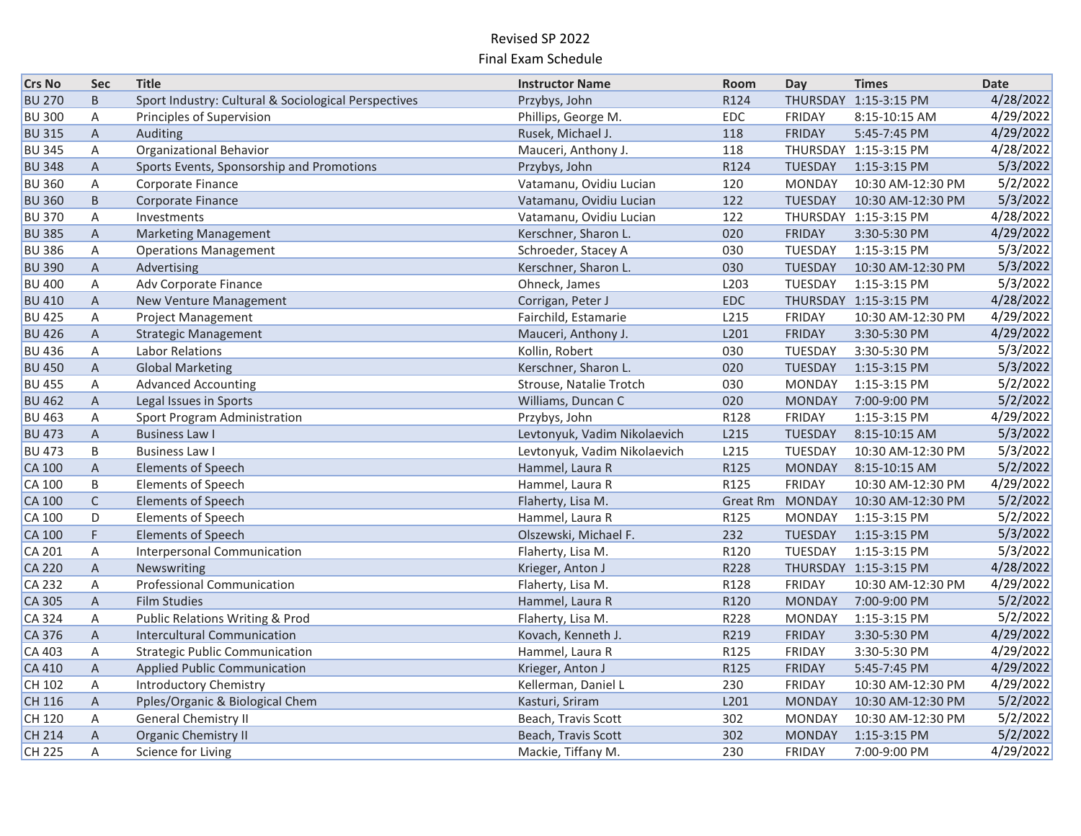| <b>Crs No</b> | <b>Sec</b>     | <b>Title</b>                                         | <b>Instructor Name</b>       | Room       | Day             | <b>Times</b>          | <b>Date</b> |
|---------------|----------------|------------------------------------------------------|------------------------------|------------|-----------------|-----------------------|-------------|
| <b>BU 270</b> | B              | Sport Industry: Cultural & Sociological Perspectives | Przybys, John                | R124       |                 | THURSDAY 1:15-3:15 PM | 4/28/2022   |
| <b>BU 300</b> | A              | Principles of Supervision                            | Phillips, George M.          | EDC        | FRIDAY          | 8:15-10:15 AM         | 4/29/2022   |
| <b>BU 315</b> | $\mathsf{A}$   | Auditing                                             | Rusek, Michael J.            | 118        | <b>FRIDAY</b>   | 5:45-7:45 PM          | 4/29/2022   |
| <b>BU 345</b> | A              | Organizational Behavior                              | Mauceri, Anthony J.          | 118        |                 | THURSDAY 1:15-3:15 PM | 4/28/2022   |
| <b>BU 348</b> | A              | Sports Events, Sponsorship and Promotions            | Przybys, John                | R124       | TUESDAY         | 1:15-3:15 PM          | 5/3/2022    |
| <b>BU 360</b> | A              | Corporate Finance                                    | Vatamanu, Ovidiu Lucian      | 120        | <b>MONDAY</b>   | 10:30 AM-12:30 PM     | 5/2/2022    |
| <b>BU 360</b> | B              | Corporate Finance                                    | Vatamanu, Ovidiu Lucian      | 122        | TUESDAY         | 10:30 AM-12:30 PM     | 5/3/2022    |
| <b>BU 370</b> | A              | Investments                                          | Vatamanu, Ovidiu Lucian      | 122        |                 | THURSDAY 1:15-3:15 PM | 4/28/2022   |
| <b>BU 385</b> | $\overline{A}$ | <b>Marketing Management</b>                          | Kerschner, Sharon L.         | 020        | <b>FRIDAY</b>   | 3:30-5:30 PM          | 4/29/2022   |
| <b>BU 386</b> | A              | <b>Operations Management</b>                         | Schroeder, Stacey A          | 030        | TUESDAY         | 1:15-3:15 PM          | 5/3/2022    |
| <b>BU 390</b> | A              | Advertising                                          | Kerschner, Sharon L.         | 030        | TUESDAY         | 10:30 AM-12:30 PM     | 5/3/2022    |
| <b>BU 400</b> | A              | Adv Corporate Finance                                | Ohneck, James                | L203       | TUESDAY         | 1:15-3:15 PM          | 5/3/2022    |
| <b>BU 410</b> | A              | New Venture Management                               | Corrigan, Peter J            | <b>EDC</b> |                 | THURSDAY 1:15-3:15 PM | 4/28/2022   |
| <b>BU 425</b> | A              | Project Management                                   | Fairchild, Estamarie         | L215       | FRIDAY          | 10:30 AM-12:30 PM     | 4/29/2022   |
| <b>BU 426</b> | $\mathsf{A}$   | <b>Strategic Management</b>                          | Mauceri, Anthony J.          | L201       | <b>FRIDAY</b>   | 3:30-5:30 PM          | 4/29/2022   |
| <b>BU 436</b> | A              | Labor Relations                                      | Kollin, Robert               | 030        | TUESDAY         | 3:30-5:30 PM          | 5/3/2022    |
| <b>BU 450</b> | A              | <b>Global Marketing</b>                              | Kerschner, Sharon L.         | 020        | <b>TUESDAY</b>  | 1:15-3:15 PM          | 5/3/2022    |
| <b>BU 455</b> | Α              | <b>Advanced Accounting</b>                           | Strouse, Natalie Trotch      | 030        | <b>MONDAY</b>   | 1:15-3:15 PM          | 5/2/2022    |
| <b>BU 462</b> | A              | Legal Issues in Sports                               | Williams, Duncan C           | 020        | <b>MONDAY</b>   | 7:00-9:00 PM          | 5/2/2022    |
| <b>BU 463</b> | Α              | Sport Program Administration                         | Przybys, John                | R128       | <b>FRIDAY</b>   | 1:15-3:15 PM          | 4/29/2022   |
| <b>BU 473</b> | A              | <b>Business Law I</b>                                | Levtonyuk, Vadim Nikolaevich | L215       | TUESDAY         | 8:15-10:15 AM         | 5/3/2022    |
| <b>BU 473</b> | B              | <b>Business Law I</b>                                | Levtonyuk, Vadim Nikolaevich | L215       | TUESDAY         | 10:30 AM-12:30 PM     | 5/3/2022    |
| <b>CA 100</b> | $\overline{A}$ | <b>Elements of Speech</b>                            | Hammel, Laura R              | R125       | <b>MONDAY</b>   | 8:15-10:15 AM         | 5/2/2022    |
| <b>CA 100</b> | B              | <b>Elements of Speech</b>                            | Hammel, Laura R              | R125       | <b>FRIDAY</b>   | 10:30 AM-12:30 PM     | 4/29/2022   |
| <b>CA 100</b> | $\mathsf{C}$   | <b>Elements of Speech</b>                            | Flaherty, Lisa M.            |            | Great Rm MONDAY | 10:30 AM-12:30 PM     | 5/2/2022    |
| <b>CA 100</b> | D              | <b>Elements of Speech</b>                            | Hammel, Laura R              | R125       | <b>MONDAY</b>   | 1:15-3:15 PM          | 5/2/2022    |
| <b>CA 100</b> | F.             | <b>Elements of Speech</b>                            | Olszewski, Michael F.        | 232        | TUESDAY         | 1:15-3:15 PM          | 5/3/2022    |
| CA 201        | $\overline{A}$ | Interpersonal Communication                          | Flaherty, Lisa M.            | R120       | TUESDAY         | 1:15-3:15 PM          | 5/3/2022    |
| <b>CA 220</b> | $\mathsf{A}$   | Newswriting                                          | Krieger, Anton J             | R228       |                 | THURSDAY 1:15-3:15 PM | 4/28/2022   |
| CA 232        | A              | Professional Communication                           | Flaherty, Lisa M.            | R128       | <b>FRIDAY</b>   | 10:30 AM-12:30 PM     | 4/29/2022   |
| CA 305        | $\mathsf{A}$   | <b>Film Studies</b>                                  | Hammel, Laura R              | R120       | <b>MONDAY</b>   | 7:00-9:00 PM          | 5/2/2022    |
| CA 324        | Α              | <b>Public Relations Writing &amp; Prod</b>           | Flaherty, Lisa M.            | R228       | <b>MONDAY</b>   | 1:15-3:15 PM          | 5/2/2022    |
| CA 376        | $\mathsf{A}$   | Intercultural Communication                          | Kovach, Kenneth J.           | R219       | <b>FRIDAY</b>   | 3:30-5:30 PM          | 4/29/2022   |
| CA 403        | A              | <b>Strategic Public Communication</b>                | Hammel, Laura R              | R125       | <b>FRIDAY</b>   | 3:30-5:30 PM          | 4/29/2022   |
| <b>CA 410</b> | $\mathsf{A}$   | <b>Applied Public Communication</b>                  | Krieger, Anton J             | R125       | <b>FRIDAY</b>   | 5:45-7:45 PM          | 4/29/2022   |
| CH 102        | A              | <b>Introductory Chemistry</b>                        | Kellerman, Daniel L          | 230        | <b>FRIDAY</b>   | 10:30 AM-12:30 PM     | 4/29/2022   |
| CH 116        | $\mathsf{A}$   | Pples/Organic & Biological Chem                      | Kasturi, Sriram              | L201       | <b>MONDAY</b>   | 10:30 AM-12:30 PM     | 5/2/2022    |
| CH 120        | Α              | <b>General Chemistry II</b>                          | Beach, Travis Scott          | 302        | <b>MONDAY</b>   | 10:30 AM-12:30 PM     | 5/2/2022    |
| CH 214        | $\mathsf{A}$   | <b>Organic Chemistry II</b>                          | Beach, Travis Scott          | 302        | <b>MONDAY</b>   | 1:15-3:15 PM          | 5/2/2022    |
| CH 225        | A              | Science for Living                                   | Mackie, Tiffany M.           | 230        | <b>FRIDAY</b>   | 7:00-9:00 PM          | 4/29/2022   |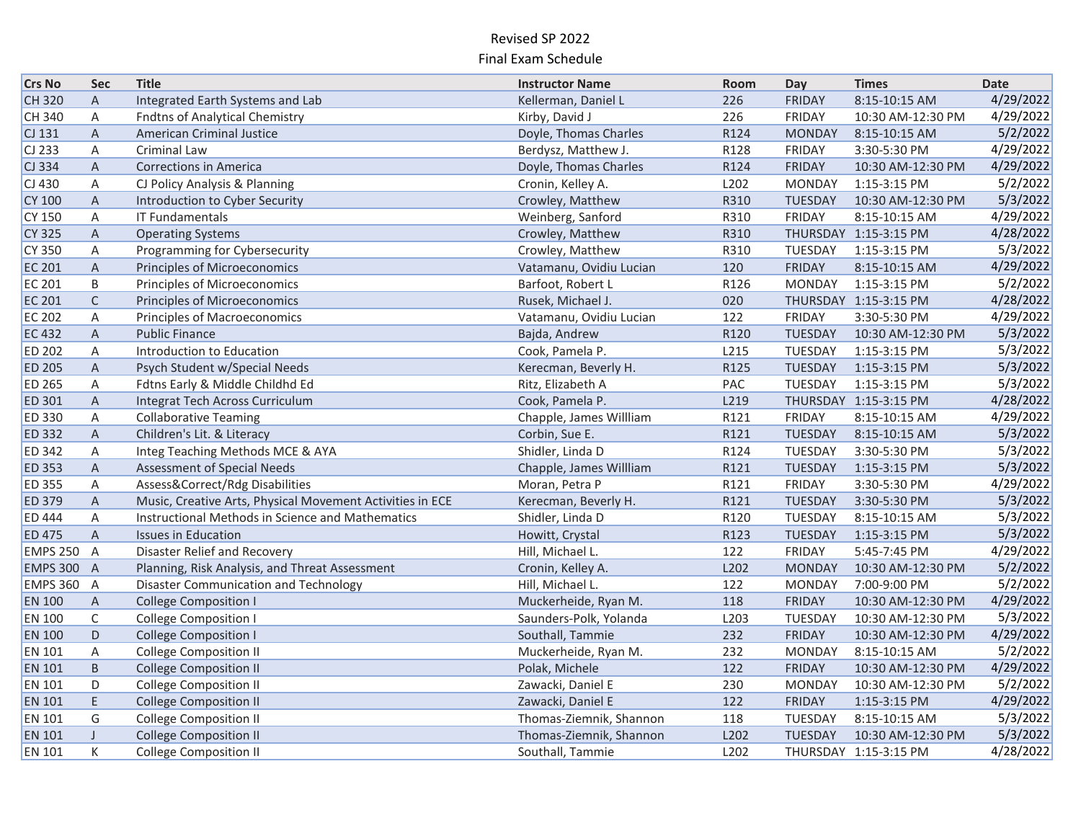| <b>Crs No</b>   | <b>Sec</b>     | <b>Title</b>                                              | <b>Instructor Name</b>  | Room | Day            | <b>Times</b>          | <b>Date</b> |
|-----------------|----------------|-----------------------------------------------------------|-------------------------|------|----------------|-----------------------|-------------|
| CH 320          | $\overline{A}$ | Integrated Earth Systems and Lab                          | Kellerman, Daniel L     | 226  | <b>FRIDAY</b>  | 8:15-10:15 AM         | 4/29/2022   |
| CH 340          | Α              | <b>Fndtns of Analytical Chemistry</b>                     | Kirby, David J          | 226  | <b>FRIDAY</b>  | 10:30 AM-12:30 PM     | 4/29/2022   |
| $CI$ 131        | A              | <b>American Criminal Justice</b>                          | Doyle, Thomas Charles   | R124 | <b>MONDAY</b>  | 8:15-10:15 AM         | 5/2/2022    |
| $CI$ 233        | A              | Criminal Law                                              | Berdysz, Matthew J.     | R128 | <b>FRIDAY</b>  | 3:30-5:30 PM          | 4/29/2022   |
| CJ 334          | $\overline{A}$ | <b>Corrections in America</b>                             | Doyle, Thomas Charles   | R124 | <b>FRIDAY</b>  | 10:30 AM-12:30 PM     | 4/29/2022   |
| $CI$ 430        | Α              | CJ Policy Analysis & Planning                             | Cronin, Kelley A.       | L202 | <b>MONDAY</b>  | 1:15-3:15 PM          | 5/2/2022    |
| <b>CY 100</b>   | $\overline{A}$ | Introduction to Cyber Security                            | Crowley, Matthew        | R310 | <b>TUESDAY</b> | 10:30 AM-12:30 PM     | 5/3/2022    |
| <b>CY 150</b>   | Α              | <b>IT Fundamentals</b>                                    | Weinberg, Sanford       | R310 | <b>FRIDAY</b>  | 8:15-10:15 AM         | 4/29/2022   |
| <b>CY 325</b>   | A              | <b>Operating Systems</b>                                  | Crowley, Matthew        | R310 |                | THURSDAY 1:15-3:15 PM | 4/28/2022   |
| <b>CY 350</b>   | A              | Programming for Cybersecurity                             | Crowley, Matthew        | R310 | TUESDAY        | 1:15-3:15 PM          | 5/3/2022    |
| <b>EC 201</b>   | $\overline{A}$ | <b>Principles of Microeconomics</b>                       | Vatamanu, Ovidiu Lucian | 120  | <b>FRIDAY</b>  | 8:15-10:15 AM         | 4/29/2022   |
| <b>EC 201</b>   | B              | Principles of Microeconomics                              | Barfoot, Robert L       | R126 | <b>MONDAY</b>  | 1:15-3:15 PM          | 5/2/2022    |
| <b>EC 201</b>   | $\mathsf{C}$   | Principles of Microeconomics                              | Rusek, Michael J.       | 020  |                | THURSDAY 1:15-3:15 PM | 4/28/2022   |
| <b>EC 202</b>   | A              | Principles of Macroeconomics                              | Vatamanu, Ovidiu Lucian | 122  | <b>FRIDAY</b>  | 3:30-5:30 PM          | 4/29/2022   |
| <b>EC 432</b>   | A              | <b>Public Finance</b>                                     | Bajda, Andrew           | R120 | TUESDAY        | 10:30 AM-12:30 PM     | 5/3/2022    |
| <b>ED 202</b>   | A              | Introduction to Education                                 | Cook, Pamela P.         | L215 | TUESDAY        | 1:15-3:15 PM          | 5/3/2022    |
| <b>ED 205</b>   | $\overline{A}$ | Psych Student w/Special Needs                             | Kerecman, Beverly H.    | R125 | TUESDAY        | 1:15-3:15 PM          | 5/3/2022    |
| <b>ED 265</b>   | Α              | Fdtns Early & Middle Childhd Ed                           | Ritz, Elizabeth A       | PAC  | TUESDAY        | 1:15-3:15 PM          | 5/3/2022    |
| <b>ED 301</b>   | A              | Integrat Tech Across Curriculum                           | Cook, Pamela P.         | L219 |                | THURSDAY 1:15-3:15 PM | 4/28/2022   |
| <b>ED 330</b>   | A              | <b>Collaborative Teaming</b>                              | Chapple, James Willliam | R121 | <b>FRIDAY</b>  | 8:15-10:15 AM         | 4/29/2022   |
| <b>ED 332</b>   | A              | Children's Lit. & Literacy                                | Corbin, Sue E.          | R121 | TUESDAY        | 8:15-10:15 AM         | 5/3/2022    |
| <b>ED 342</b>   | Α              | Integ Teaching Methods MCE & AYA                          | Shidler, Linda D        | R124 | TUESDAY        | 3:30-5:30 PM          | 5/3/2022    |
| <b>ED 353</b>   | $\overline{A}$ | <b>Assessment of Special Needs</b>                        | Chapple, James Willliam | R121 | <b>TUESDAY</b> | 1:15-3:15 PM          | 5/3/2022    |
| <b>ED 355</b>   | Α              | Assess&Correct/Rdg Disabilities                           | Moran, Petra P          | R121 | <b>FRIDAY</b>  | 3:30-5:30 PM          | 4/29/2022   |
| <b>ED 379</b>   | A              | Music, Creative Arts, Physical Movement Activities in ECE | Kerecman, Beverly H.    | R121 | <b>TUESDAY</b> | 3:30-5:30 PM          | 5/3/2022    |
| <b>ED 444</b>   | A              | Instructional Methods in Science and Mathematics          | Shidler, Linda D        | R120 | TUESDAY        | 8:15-10:15 AM         | 5/3/2022    |
| <b>ED 475</b>   | $\overline{A}$ | <b>Issues in Education</b>                                | Howitt, Crystal         | R123 | <b>TUESDAY</b> | 1:15-3:15 PM          | 5/3/2022    |
| <b>EMPS 250</b> | $\overline{A}$ | Disaster Relief and Recovery                              | Hill, Michael L.        | 122  | <b>FRIDAY</b>  | 5:45-7:45 PM          | 4/29/2022   |
| <b>EMPS 300</b> | $\overline{A}$ | Planning, Risk Analysis, and Threat Assessment            | Cronin, Kelley A.       | L202 | <b>MONDAY</b>  | 10:30 AM-12:30 PM     | 5/2/2022    |
| <b>EMPS 360</b> | $\overline{A}$ | Disaster Communication and Technology                     | Hill, Michael L.        | 122  | <b>MONDAY</b>  | 7:00-9:00 PM          | 5/2/2022    |
| <b>EN 100</b>   | A              | <b>College Composition I</b>                              | Muckerheide, Ryan M.    | 118  | <b>FRIDAY</b>  | 10:30 AM-12:30 PM     | 4/29/2022   |
| <b>EN 100</b>   | C              | <b>College Composition I</b>                              | Saunders-Polk, Yolanda  | L203 | TUESDAY        | 10:30 AM-12:30 PM     | 5/3/2022    |
| <b>EN 100</b>   | D              | <b>College Composition I</b>                              | Southall, Tammie        | 232  | <b>FRIDAY</b>  | 10:30 AM-12:30 PM     | 4/29/2022   |
| <b>EN 101</b>   | Α              | <b>College Composition II</b>                             | Muckerheide, Ryan M.    | 232  | <b>MONDAY</b>  | 8:15-10:15 AM         | 5/2/2022    |
| <b>EN 101</b>   | B              | <b>College Composition II</b>                             | Polak, Michele          | 122  | <b>FRIDAY</b>  | 10:30 AM-12:30 PM     | 4/29/2022   |
| <b>EN 101</b>   | D              | <b>College Composition II</b>                             | Zawacki, Daniel E       | 230  | <b>MONDAY</b>  | 10:30 AM-12:30 PM     | 5/2/2022    |
| <b>EN 101</b>   | E.             | <b>College Composition II</b>                             | Zawacki, Daniel E       | 122  | <b>FRIDAY</b>  | 1:15-3:15 PM          | 4/29/2022   |
| <b>EN 101</b>   | G              | <b>College Composition II</b>                             | Thomas-Ziemnik, Shannon | 118  | TUESDAY        | 8:15-10:15 AM         | 5/3/2022    |
| <b>EN 101</b>   | $\sf J$        | <b>College Composition II</b>                             | Thomas-Ziemnik, Shannon | L202 | <b>TUESDAY</b> | 10:30 AM-12:30 PM     | 5/3/2022    |
| <b>EN 101</b>   | К              | <b>College Composition II</b>                             | Southall, Tammie        | L202 |                | THURSDAY 1:15-3:15 PM | 4/28/2022   |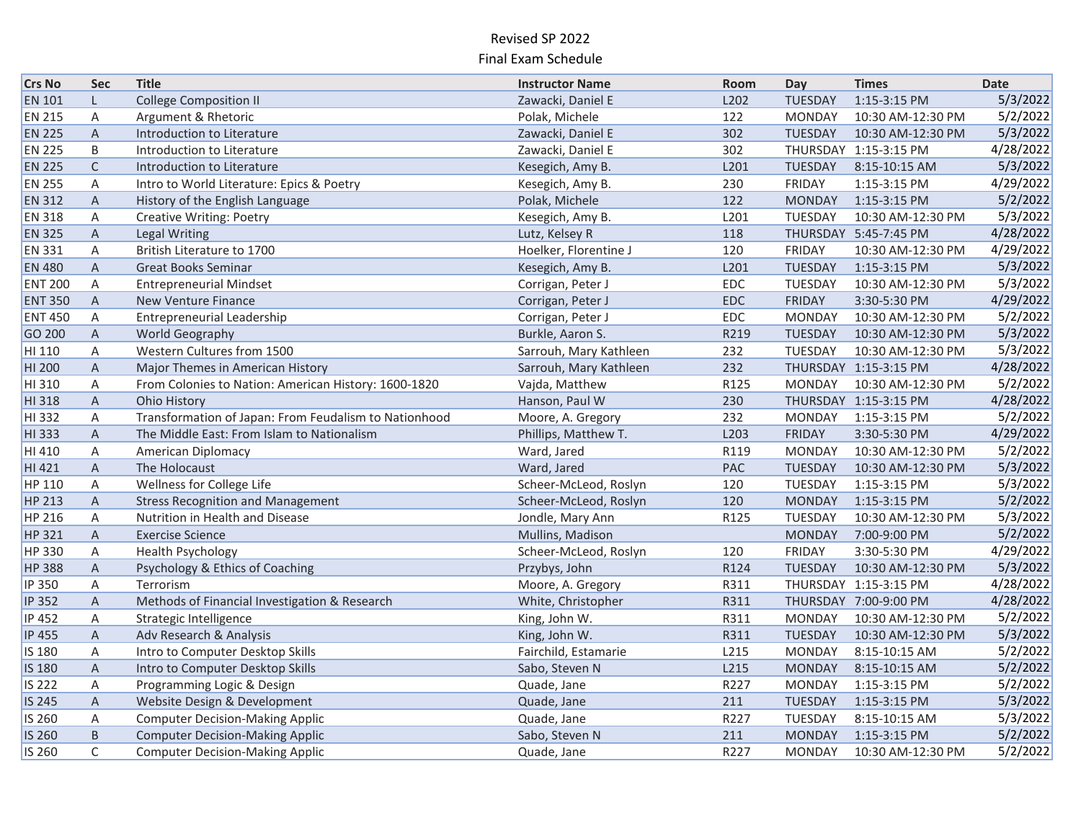| <b>Crs No</b>  | <b>Sec</b>     | <b>Title</b>                                          | <b>Instructor Name</b> | Room | Day            | <b>Times</b>          | <b>Date</b> |
|----------------|----------------|-------------------------------------------------------|------------------------|------|----------------|-----------------------|-------------|
| <b>EN 101</b>  | L.             | <b>College Composition II</b>                         | Zawacki, Daniel E      | L202 | <b>TUESDAY</b> | 1:15-3:15 PM          | 5/3/2022    |
| <b>EN 215</b>  | A              | Argument & Rhetoric                                   | Polak, Michele         | 122  | <b>MONDAY</b>  | 10:30 AM-12:30 PM     | 5/2/2022    |
| <b>EN 225</b>  | $\overline{A}$ | Introduction to Literature                            | Zawacki, Daniel E      | 302  | <b>TUESDAY</b> | 10:30 AM-12:30 PM     | 5/3/2022    |
| <b>EN 225</b>  | B              | Introduction to Literature                            | Zawacki, Daniel E      | 302  |                | THURSDAY 1:15-3:15 PM | 4/28/2022   |
| <b>EN 225</b>  | $\mathsf{C}$   | Introduction to Literature                            | Kesegich, Amy B.       | L201 | TUESDAY        | 8:15-10:15 AM         | 5/3/2022    |
| <b>EN 255</b>  | A              | Intro to World Literature: Epics & Poetry             | Kesegich, Amy B.       | 230  | <b>FRIDAY</b>  | 1:15-3:15 PM          | 4/29/2022   |
| <b>EN 312</b>  | A              | History of the English Language                       | Polak, Michele         | 122  | <b>MONDAY</b>  | 1:15-3:15 PM          | 5/2/2022    |
| <b>EN 318</b>  | A              | <b>Creative Writing: Poetry</b>                       | Kesegich, Amy B.       | L201 | TUESDAY        | 10:30 AM-12:30 PM     | 5/3/2022    |
| <b>EN 325</b>  | $\mathsf{A}$   | Legal Writing                                         | Lutz, Kelsey R         | 118  |                | THURSDAY 5:45-7:45 PM | 4/28/2022   |
| <b>EN 331</b>  | A              | British Literature to 1700                            | Hoelker, Florentine J  | 120  | <b>FRIDAY</b>  | 10:30 AM-12:30 PM     | 4/29/2022   |
| <b>EN 480</b>  | $\mathsf{A}$   | <b>Great Books Seminar</b>                            | Kesegich, Amy B.       | L201 | <b>TUESDAY</b> | 1:15-3:15 PM          | 5/3/2022    |
| <b>ENT 200</b> | A              | <b>Entrepreneurial Mindset</b>                        | Corrigan, Peter J      | EDC  | TUESDAY        | 10:30 AM-12:30 PM     | 5/3/2022    |
| <b>ENT 350</b> | $\overline{A}$ | <b>New Venture Finance</b>                            | Corrigan, Peter J      | EDC  | <b>FRIDAY</b>  | 3:30-5:30 PM          | 4/29/2022   |
| <b>ENT 450</b> | $\mathsf{A}$   | Entrepreneurial Leadership                            | Corrigan, Peter J      | EDC  | <b>MONDAY</b>  | 10:30 AM-12:30 PM     | 5/2/2022    |
| GO 200         | A              | World Geography                                       | Burkle, Aaron S.       | R219 | <b>TUESDAY</b> | 10:30 AM-12:30 PM     | 5/3/2022    |
| HI 110         | Α              | Western Cultures from 1500                            | Sarrouh, Mary Kathleen | 232  | TUESDAY        | 10:30 AM-12:30 PM     | 5/3/2022    |
| HI 200         | $\overline{A}$ | Major Themes in American History                      | Sarrouh, Mary Kathleen | 232  |                | THURSDAY 1:15-3:15 PM | 4/28/2022   |
| HI 310         | A              | From Colonies to Nation: American History: 1600-1820  | Vajda, Matthew         | R125 | <b>MONDAY</b>  | 10:30 AM-12:30 PM     | 5/2/2022    |
| HI 318         | A              | <b>Ohio History</b>                                   | Hanson, Paul W         | 230  |                | THURSDAY 1:15-3:15 PM | 4/28/2022   |
| HI 332         | A              | Transformation of Japan: From Feudalism to Nationhood | Moore, A. Gregory      | 232  | <b>MONDAY</b>  | 1:15-3:15 PM          | 5/2/2022    |
| HI 333         | A              | The Middle East: From Islam to Nationalism            | Phillips, Matthew T.   | L203 | <b>FRIDAY</b>  | 3:30-5:30 PM          | 4/29/2022   |
| HI 410         | A              | American Diplomacy                                    | Ward, Jared            | R119 | <b>MONDAY</b>  | 10:30 AM-12:30 PM     | 5/2/2022    |
| HI 421         | A              | The Holocaust                                         | Ward, Jared            | PAC  | <b>TUESDAY</b> | 10:30 AM-12:30 PM     | 5/3/2022    |
| HP 110         | $\mathsf{A}$   | Wellness for College Life                             | Scheer-McLeod, Roslyn  | 120  | TUESDAY        | 1:15-3:15 PM          | 5/3/2022    |
| HP 213         | $\overline{A}$ | <b>Stress Recognition and Management</b>              | Scheer-McLeod, Roslyn  | 120  | <b>MONDAY</b>  | 1:15-3:15 PM          | 5/2/2022    |
| <b>HP 216</b>  | A              | Nutrition in Health and Disease                       | Jondle, Mary Ann       | R125 | TUESDAY        | 10:30 AM-12:30 PM     | 5/3/2022    |
| HP 321         | A              | <b>Exercise Science</b>                               | Mullins, Madison       |      | <b>MONDAY</b>  | 7:00-9:00 PM          | 5/2/2022    |
| <b>HP 330</b>  | A              | <b>Health Psychology</b>                              | Scheer-McLeod, Roslyn  | 120  | <b>FRIDAY</b>  | 3:30-5:30 PM          | 4/29/2022   |
| <b>HP 388</b>  | $\mathsf{A}$   | Psychology & Ethics of Coaching                       | Przybys, John          | R124 | <b>TUESDAY</b> | 10:30 AM-12:30 PM     | 5/3/2022    |
| <b>IP 350</b>  | A              | Terrorism                                             | Moore, A. Gregory      | R311 |                | THURSDAY 1:15-3:15 PM | 4/28/2022   |
| <b>IP 352</b>  | A              | Methods of Financial Investigation & Research         | White, Christopher     | R311 |                | THURSDAY 7:00-9:00 PM | 4/28/2022   |
| IP 452         | Α              | Strategic Intelligence                                | King, John W.          | R311 | <b>MONDAY</b>  | 10:30 AM-12:30 PM     | 5/2/2022    |
| <b>IP 455</b>  | A              | Adv Research & Analysis                               | King, John W.          | R311 | TUESDAY        | 10:30 AM-12:30 PM     | 5/3/2022    |
| IS 180         | Α              | Intro to Computer Desktop Skills                      | Fairchild, Estamarie   | L215 | <b>MONDAY</b>  | 8:15-10:15 AM         | 5/2/2022    |
| IS 180         | $\mathsf{A}$   | Intro to Computer Desktop Skills                      | Sabo, Steven N         | L215 | <b>MONDAY</b>  | 8:15-10:15 AM         | 5/2/2022    |
| <b>IS 222</b>  | Α              | Programming Logic & Design                            | Quade, Jane            | R227 | <b>MONDAY</b>  | 1:15-3:15 PM          | 5/2/2022    |
| <b>IS 245</b>  | A              | Website Design & Development                          | Quade, Jane            | 211  | <b>TUESDAY</b> | 1:15-3:15 PM          | 5/3/2022    |
| IS 260         | Α              | <b>Computer Decision-Making Applic</b>                | Quade, Jane            | R227 | TUESDAY        | 8:15-10:15 AM         | 5/3/2022    |
| <b>IS 260</b>  | B              | <b>Computer Decision-Making Applic</b>                | Sabo, Steven N         | 211  | <b>MONDAY</b>  | 1:15-3:15 PM          | 5/2/2022    |
| IS 260         | $\mathsf{C}$   | <b>Computer Decision-Making Applic</b>                | Quade, Jane            | R227 | <b>MONDAY</b>  | 10:30 AM-12:30 PM     | 5/2/2022    |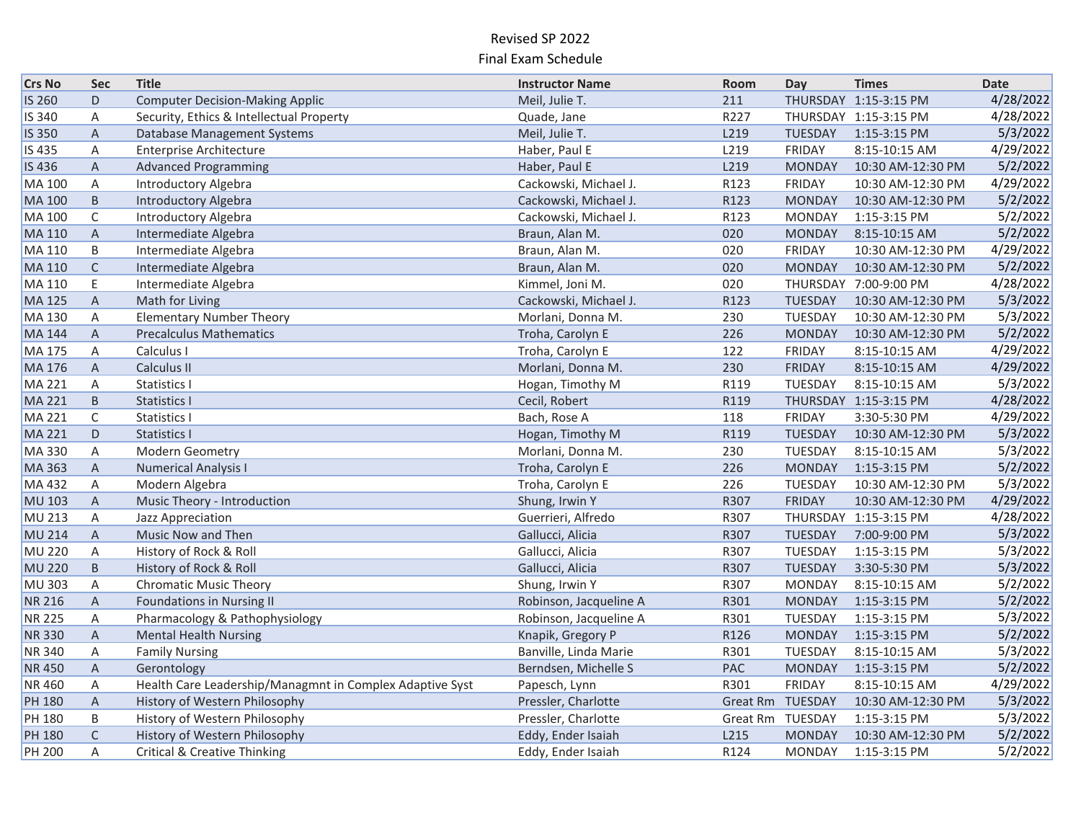| <b>Crs No</b> | <b>Sec</b>     | <b>Title</b>                                             | <b>Instructor Name</b> | Room            | Day              | <b>Times</b>          | <b>Date</b> |
|---------------|----------------|----------------------------------------------------------|------------------------|-----------------|------------------|-----------------------|-------------|
| IS 260        | D              | <b>Computer Decision-Making Applic</b>                   | Meil, Julie T.         | 211             |                  | THURSDAY 1:15-3:15 PM | 4/28/2022   |
| IS 340        | Α              | Security, Ethics & Intellectual Property                 | Quade, Jane            | R227            |                  | THURSDAY 1:15-3:15 PM | 4/28/2022   |
| <b>IS 350</b> | $\overline{A}$ | Database Management Systems                              | Meil, Julie T.         | L219            | TUESDAY          | 1:15-3:15 PM          | 5/3/2022    |
| IS 435        | A              | <b>Enterprise Architecture</b>                           | Haber, Paul E          | L219            | <b>FRIDAY</b>    | 8:15-10:15 AM         | 4/29/2022   |
| IS 436        | A              | <b>Advanced Programming</b>                              | Haber, Paul E          | L219            | <b>MONDAY</b>    | 10:30 AM-12:30 PM     | 5/2/2022    |
| <b>MA 100</b> | Α              | Introductory Algebra                                     | Cackowski, Michael J.  | R123            | <b>FRIDAY</b>    | 10:30 AM-12:30 PM     | 4/29/2022   |
| MA 100        | B.             | <b>Introductory Algebra</b>                              | Cackowski, Michael J.  | R123            | <b>MONDAY</b>    | 10:30 AM-12:30 PM     | 5/2/2022    |
| MA 100        | C              | Introductory Algebra                                     | Cackowski, Michael J.  | R123            | <b>MONDAY</b>    | 1:15-3:15 PM          | 5/2/2022    |
| MA 110        | $\mathsf{A}$   | Intermediate Algebra                                     | Braun, Alan M.         | 020             | <b>MONDAY</b>    | 8:15-10:15 AM         | 5/2/2022    |
| MA 110        | B              | Intermediate Algebra                                     | Braun, Alan M.         | 020             | <b>FRIDAY</b>    | 10:30 AM-12:30 PM     | 4/29/2022   |
| MA 110        | $\mathsf{C}$   | Intermediate Algebra                                     | Braun, Alan M.         | 020             | <b>MONDAY</b>    | 10:30 AM-12:30 PM     | 5/2/2022    |
| <b>MA 110</b> | E.             | Intermediate Algebra                                     | Kimmel, Joni M.        | 020             |                  | THURSDAY 7:00-9:00 PM | 4/28/2022   |
| MA 125        | $\mathsf{A}$   | Math for Living                                          | Cackowski, Michael J.  | R123            | TUESDAY          | 10:30 AM-12:30 PM     | 5/3/2022    |
| MA 130        | A              | <b>Elementary Number Theory</b>                          | Morlani, Donna M.      | 230             | TUESDAY          | 10:30 AM-12:30 PM     | 5/3/2022    |
| <b>MA 144</b> | A              | <b>Precalculus Mathematics</b>                           | Troha, Carolyn E       | 226             | <b>MONDAY</b>    | 10:30 AM-12:30 PM     | 5/2/2022    |
| <b>MA 175</b> | Α              | Calculus I                                               | Troha, Carolyn E       | 122             | FRIDAY           | 8:15-10:15 AM         | 4/29/2022   |
| MA 176        | $\mathsf{A}$   | Calculus II                                              | Morlani, Donna M.      | 230             | <b>FRIDAY</b>    | 8:15-10:15 AM         | 4/29/2022   |
| MA 221        | A              | Statistics I                                             | Hogan, Timothy M       | R119            | TUESDAY          | 8:15-10:15 AM         | 5/3/2022    |
| <b>MA 221</b> | B              | Statistics I                                             | Cecil, Robert          | R119            |                  | THURSDAY 1:15-3:15 PM | 4/28/2022   |
| <b>MA 221</b> | C              | <b>Statistics I</b>                                      | Bach, Rose A           | 118             | <b>FRIDAY</b>    | 3:30-5:30 PM          | 4/29/2022   |
| <b>MA 221</b> | D              | <b>Statistics I</b>                                      | Hogan, Timothy M       | R119            | <b>TUESDAY</b>   | 10:30 AM-12:30 PM     | 5/3/2022    |
| <b>MA330</b>  | A              | Modern Geometry                                          | Morlani, Donna M.      | 230             | TUESDAY          | 8:15-10:15 AM         | 5/3/2022    |
| <b>MA 363</b> | $\overline{A}$ | <b>Numerical Analysis I</b>                              | Troha, Carolyn E       | 226             | <b>MONDAY</b>    | 1:15-3:15 PM          | 5/2/2022    |
| MA 432        | A              | Modern Algebra                                           | Troha, Carolyn E       | 226             | TUESDAY          | 10:30 AM-12:30 PM     | 5/3/2022    |
| <b>MU 103</b> | $\mathsf{A}$   | Music Theory - Introduction                              | Shung, Irwin Y         | R307            | <b>FRIDAY</b>    | 10:30 AM-12:30 PM     | 4/29/2022   |
| MU 213        | Α              | Jazz Appreciation                                        | Guerrieri, Alfredo     | R307            |                  | THURSDAY 1:15-3:15 PM | 4/28/2022   |
| <b>MU 214</b> | A              | Music Now and Then                                       | Gallucci, Alicia       | R307            | TUESDAY          | 7:00-9:00 PM          | 5/3/2022    |
| <b>MU 220</b> | A              | History of Rock & Roll                                   | Gallucci, Alicia       | R307            | TUESDAY          | 1:15-3:15 PM          | 5/3/2022    |
| <b>MU 220</b> | B.             | History of Rock & Roll                                   | Gallucci, Alicia       | R307            | TUESDAY          | 3:30-5:30 PM          | 5/3/2022    |
| MU 303        | A              | <b>Chromatic Music Theory</b>                            | Shung, Irwin Y         | R307            | <b>MONDAY</b>    | 8:15-10:15 AM         | 5/2/2022    |
| <b>NR 216</b> | A              | <b>Foundations in Nursing II</b>                         | Robinson, Jacqueline A | R301            | <b>MONDAY</b>    | 1:15-3:15 PM          | 5/2/2022    |
| <b>NR 225</b> | Α              | Pharmacology & Pathophysiology                           | Robinson, Jacqueline A | R301            | TUESDAY          | 1:15-3:15 PM          | 5/3/2022    |
| <b>NR330</b>  | $\mathsf{A}$   | <b>Mental Health Nursing</b>                             | Knapik, Gregory P      | R126            | <b>MONDAY</b>    | 1:15-3:15 PM          | 5/2/2022    |
| <b>NR340</b>  | Α              | <b>Family Nursing</b>                                    | Banville, Linda Marie  | R301            | TUESDAY          | 8:15-10:15 AM         | 5/3/2022    |
| NR 450        | A              | Gerontology                                              | Berndsen, Michelle S   | PAC             | <b>MONDAY</b>    | 1:15-3:15 PM          | 5/2/2022    |
| <b>NR460</b>  | A              | Health Care Leadership/Managmnt in Complex Adaptive Syst | Papesch, Lynn          | R301            | <b>FRIDAY</b>    | 8:15-10:15 AM         | 4/29/2022   |
| <b>PH 180</b> | A              | History of Western Philosophy                            | Pressler, Charlotte    | <b>Great Rm</b> | TUESDAY          | 10:30 AM-12:30 PM     | 5/3/2022    |
| <b>PH 180</b> | B              | History of Western Philosophy                            | Pressler, Charlotte    |                 | Great Rm TUESDAY | 1:15-3:15 PM          | 5/3/2022    |
| <b>PH 180</b> | $\mathsf C$    | History of Western Philosophy                            | Eddy, Ender Isaiah     | L215            | <b>MONDAY</b>    | 10:30 AM-12:30 PM     | 5/2/2022    |
| <b>PH 200</b> | A              | <b>Critical &amp; Creative Thinking</b>                  | Eddy, Ender Isaiah     | R124            | <b>MONDAY</b>    | 1:15-3:15 PM          | 5/2/2022    |